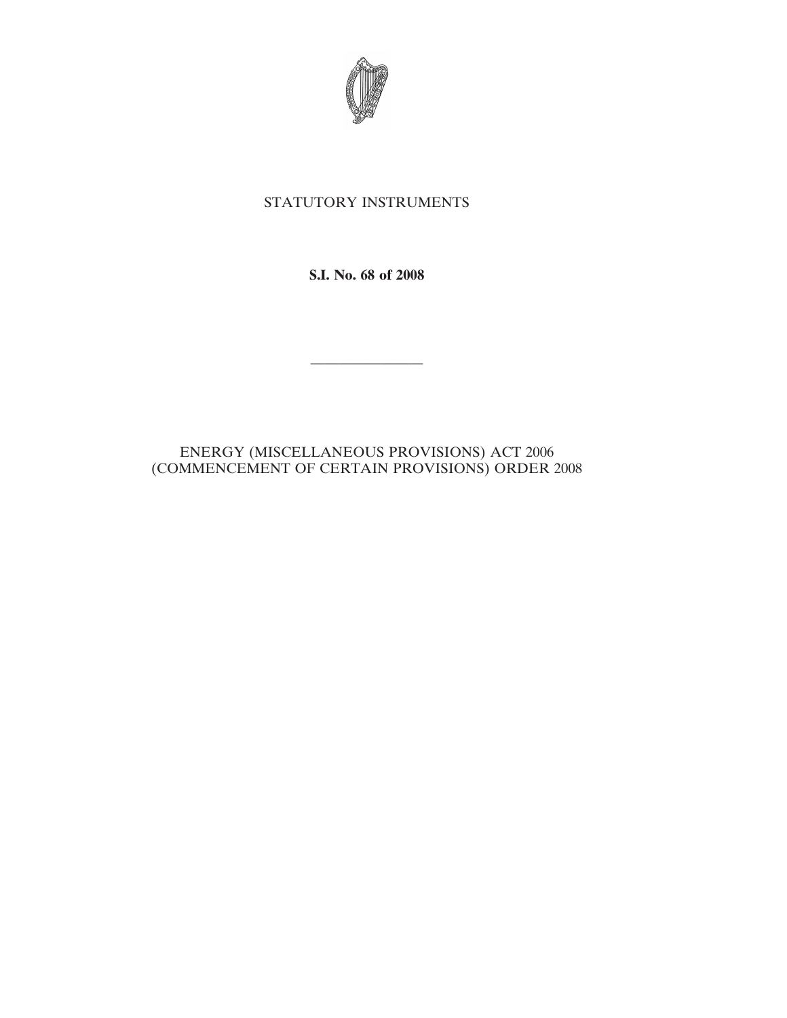

## STATUTORY INSTRUMENTS

**S.I. No. 68 of 2008**

————————

## ENERGY (MISCELLANEOUS PROVISIONS) ACT 2006 (COMMENCEMENT OF CERTAIN PROVISIONS) ORDER 2008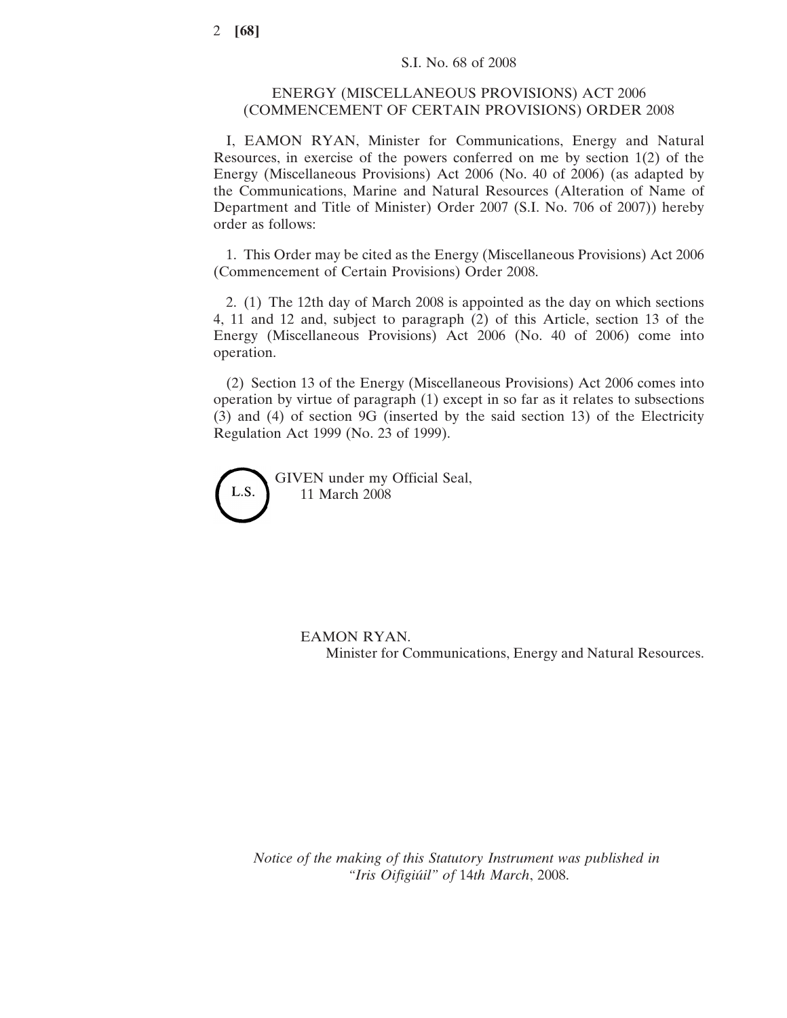## ENERGY (MISCELLANEOUS PROVISIONS) ACT 2006 (COMMENCEMENT OF CERTAIN PROVISIONS) ORDER 2008

I, EAMON RYAN, Minister for Communications, Energy and Natural Resources, in exercise of the powers conferred on me by section 1(2) of the Energy (Miscellaneous Provisions) Act 2006 (No. 40 of 2006) (as adapted by the Communications, Marine and Natural Resources (Alteration of Name of Department and Title of Minister) Order 2007 (S.I. No. 706 of 2007)) hereby order as follows:

1. This Order may be cited as the Energy (Miscellaneous Provisions) Act 2006 (Commencement of Certain Provisions) Order 2008.

2. (1) The 12th day of March 2008 is appointed as the day on which sections 4, 11 and 12 and, subject to paragraph (2) of this Article, section 13 of the Energy (Miscellaneous Provisions) Act 2006 (No. 40 of 2006) come into operation.

(2) Section 13 of the Energy (Miscellaneous Provisions) Act 2006 comes into operation by virtue of paragraph (1) except in so far as it relates to subsections (3) and (4) of section 9G (inserted by the said section 13) of the Electricity Regulation Act 1999 (No. 23 of 1999).



GIVEN under my Official Seal, 11 March 2008

> EAMON RYAN. Minister for Communications, Energy and Natural Resources.

*Notice of the making of this Statutory Instrument was published in "Iris Oifigiu´il" of* 14*th March*, 2008.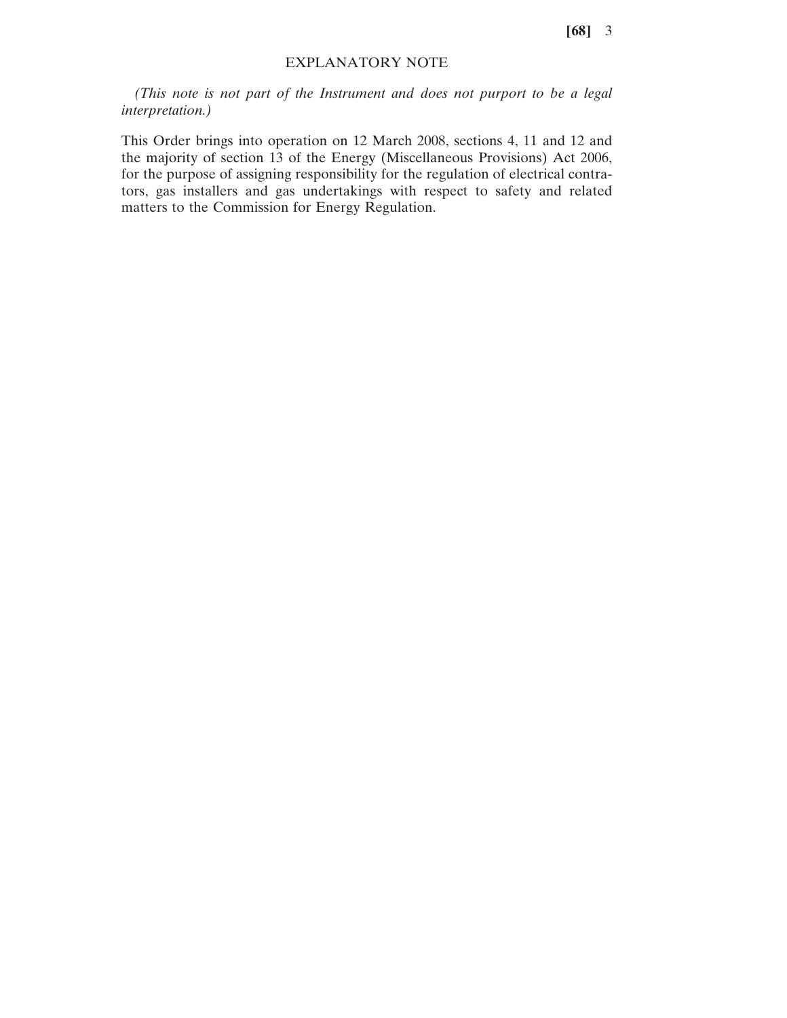**[68]** 3

## EXPLANATORY NOTE

*(This note is not part of the Instrument and does not purport to be a legal interpretation.)*

This Order brings into operation on 12 March 2008, sections 4, 11 and 12 and the majority of section 13 of the Energy (Miscellaneous Provisions) Act 2006, for the purpose of assigning responsibility for the regulation of electrical contrators, gas installers and gas undertakings with respect to safety and related matters to the Commission for Energy Regulation.